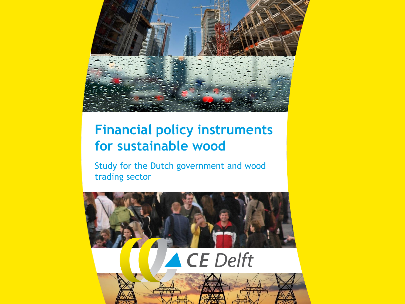

# **Financial policy instruments for sustainable wood**

Study for the Dutch government and wood trading sector

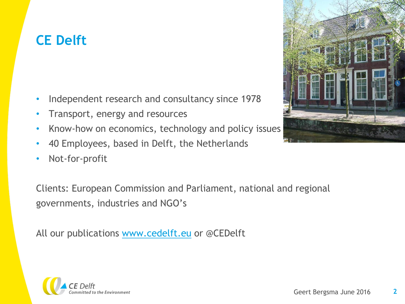# **CE Delft**

- Independent research and consultancy since 1978
- Transport, energy and resources
- Know-how on economics, technology and policy issues
- 40 Employees, based in Delft, the Netherlands
- Not-for-profit

Clients: European Commission and Parliament, national and regional governments, industries and NGO's

All our publications [www.cedelft.eu](http://www.cedelft.eu/) or @CEDelft



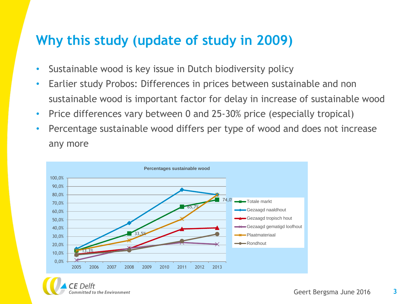#### **Why this study (update of study in 2009)**

- Sustainable wood is key issue in Dutch biodiversity policy
- Earlier study Probos: Differences in prices between sustainable and non sustainable wood is important factor for delay in increase of sustainable wood
- Price differences vary between 0 and 25-30% price (especially tropical)
- Percentage sustainable wood differs per type of wood and does not increase any more

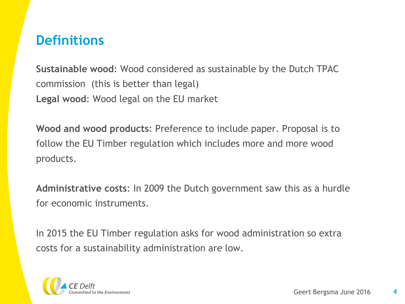#### **Definitions**

**Sustainable wood**: Wood considered as sustainable by the Dutch TPAC commission (this is better than legal) **Legal wood**: Wood legal on the EU market

**Wood and wood products**: Preference to include paper. Proposal is to follow the EU Timber regulation which includes more and more wood products.

**Administrative costs**: In 2009 the Dutch government saw this as a hurdle for economic instruments.

In 2015 the EU Timber regulation asks for wood administration so extra costs for a sustainability administration are low.

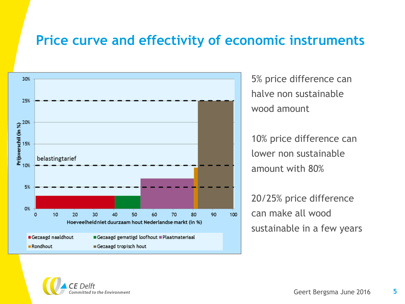#### **Price curve and effectivity of economic instruments**



5% price difference can halve non sustainable wood amount

10% price difference can lower non sustainable amount with 80%

20/25% price difference can make all wood sustainable in a few years

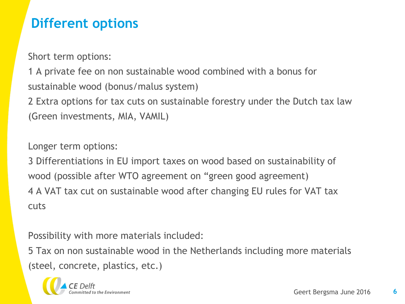# **Different options**

Short term options:

1 A private fee on non sustainable wood combined with a bonus for sustainable wood (bonus/malus system)

2 Extra options for tax cuts on sustainable forestry under the Dutch tax law (Green investments, MIA, VAMIL)

Longer term options:

3 Differentiations in EU import taxes on wood based on sustainability of wood (possible after WTO agreement on "green good agreement) 4 A VAT tax cut on sustainable wood after changing EU rules for VAT tax cuts

Possibility with more materials included:

5 Tax on non sustainable wood in the Netherlands including more materials (steel, concrete, plastics, etc.)

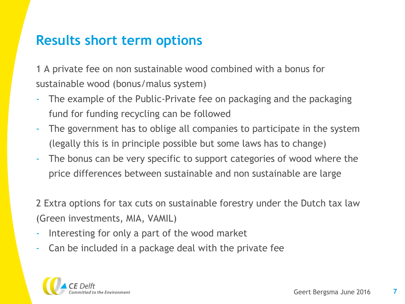### **Results short term options**

1 A private fee on non sustainable wood combined with a bonus for sustainable wood (bonus/malus system)

- The example of the Public-Private fee on packaging and the packaging fund for funding recycling can be followed
- The government has to oblige all companies to participate in the system (legally this is in principle possible but some laws has to change)
- The bonus can be very specific to support categories of wood where the price differences between sustainable and non sustainable are large

2 Extra options for tax cuts on sustainable forestry under the Dutch tax law (Green investments, MIA, VAMIL)

- Interesting for only a part of the wood market
- Can be included in a package deal with the private fee

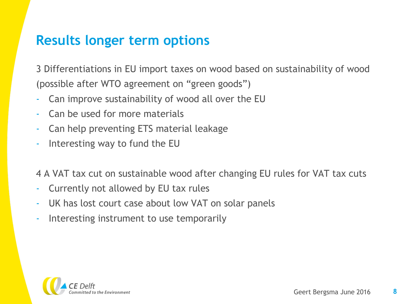#### **Results longer term options**

3 Differentiations in EU import taxes on wood based on sustainability of wood (possible after WTO agreement on "green goods")

- Can improve sustainability of wood all over the EU
- Can be used for more materials
- Can help preventing ETS material leakage
- Interesting way to fund the EU

4 A VAT tax cut on sustainable wood after changing EU rules for VAT tax cuts

- Currently not allowed by EU tax rules
- UK has lost court case about low VAT on solar panels
- Interesting instrument to use temporarily

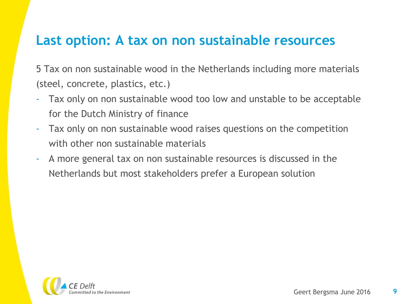#### **Last option: A tax on non sustainable resources**

5 Tax on non sustainable wood in the Netherlands including more materials (steel, concrete, plastics, etc.)

- Tax only on non sustainable wood too low and unstable to be acceptable for the Dutch Ministry of finance
- Tax only on non sustainable wood raises questions on the competition with other non sustainable materials
- A more general tax on non sustainable resources is discussed in the Netherlands but most stakeholders prefer a European solution

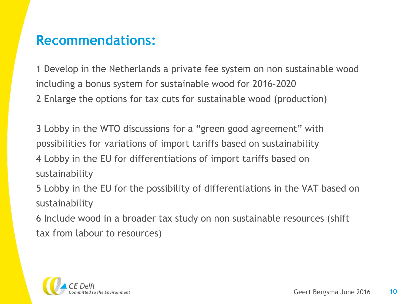## **Recommendations:**

1 Develop in the Netherlands a private fee system on non sustainable wood including a bonus system for sustainable wood for 2016-2020 2 Enlarge the options for tax cuts for sustainable wood (production)

3 Lobby in the WTO discussions for a "green good agreement" with possibilities for variations of import tariffs based on sustainability 4 Lobby in the EU for differentiations of import tariffs based on sustainability

5 Lobby in the EU for the possibility of differentiations in the VAT based on sustainability

6 Include wood in a broader tax study on non sustainable resources (shift tax from labour to resources)

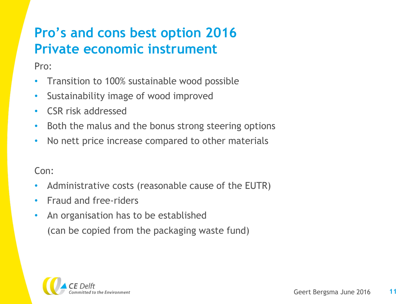# **Pro's and cons best option 2016 Private economic instrument**

Pro:

- Transition to 100% sustainable wood possible
- Sustainability image of wood improved
- CSR risk addressed
- Both the malus and the bonus strong steering options
- No nett price increase compared to other materials

Con:

- Administrative costs (reasonable cause of the EUTR)
- Fraud and free-riders
- An organisation has to be established (can be copied from the packaging waste fund)

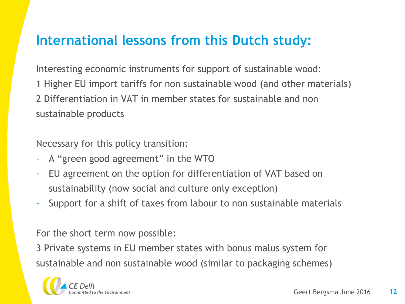## **International lessons from this Dutch study:**

Interesting economic instruments for support of sustainable wood: 1 Higher EU import tariffs for non sustainable wood (and other materials) 2 Differentiation in VAT in member states for sustainable and non sustainable products

Necessary for this policy transition:

- A "green good agreement" in the WTO
- EU agreement on the option for differentiation of VAT based on sustainability (now social and culture only exception)
- Support for a shift of taxes from labour to non sustainable materials

For the short term now possible:

3 Private systems in EU member states with bonus malus system for sustainable and non sustainable wood (similar to packaging schemes)

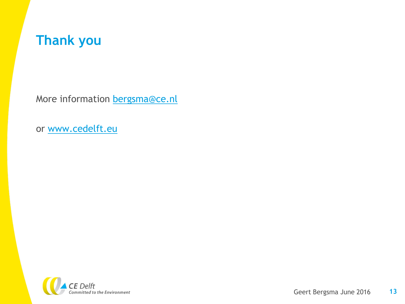

More information **bergsma@ce.nl** 

or [www.cedelft.eu](http://www.cedelft.eu/)

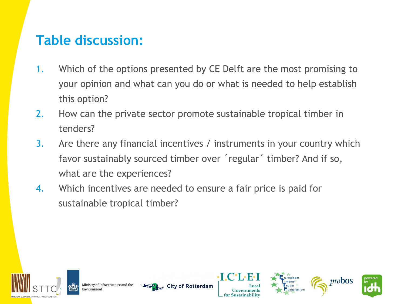# **Table discussion:**

- 1. Which of the options presented by CE Delft are the most promising to your opinion and what can you do or what is needed to help establish this option?
- 2. How can the private sector promote sustainable tropical timber in tenders?
- 3. Are there any financial incentives / instruments in your country which favor sustainably sourced timber over ´regular´ timber? And if so, what are the experiences?
- 4. Which incentives are needed to ensure a fair price is paid for sustainable tropical timber?